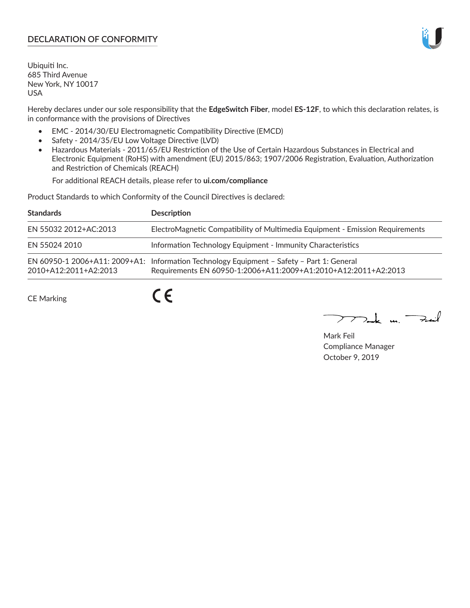## **DECLARATION OF CONFORMITY**

Ubiquiti Inc. 685 Third Avenue New York, NY 10017 USA

Hereby declares under our sole responsibility that the **EdgeSwitch Fiber**, model **ES-12F**, to which this declaration relates, is in conformance with the provisions of Directives

- EMC 2014/30/EU Electromagnetic Compatibility Directive (EMCD)
- Safety 2014/35/EU Low Voltage Directive (LVD)
- Hazardous Materials 2011/65/EU Restriction of the Use of Certain Hazardous Substances in Electrical and Electronic Equipment (RoHS) with amendment (EU) 2015/863; 1907/2006 Registration, Evaluation, Authorization and Restriction of Chemicals (REACH)

For additional REACH details, please refer to **ui.com/compliance**

Product Standards to which Conformity of the Council Directives is declared:

| <b>Standards</b>      | <b>Description</b>                                                                                                                                          |
|-----------------------|-------------------------------------------------------------------------------------------------------------------------------------------------------------|
| EN 55032 2012+AC:2013 | ElectroMagnetic Compatibility of Multimedia Equipment - Emission Requirements                                                                               |
| EN 55024 2010         | Information Technology Equipment - Immunity Characteristics                                                                                                 |
| 2010+A12:2011+A2:2013 | EN 60950-1 2006+A11: 2009+A1: Information Technology Equipment - Safety - Part 1: General<br>Requirements EN 60950-1:2006+A11:2009+A1:2010+A12:2011+A2:2013 |

CE Marking

 $C \in$ 

 $\nabla$ ak m $\nabla$ zail

Mark Feil Compliance Manager October 9, 2019

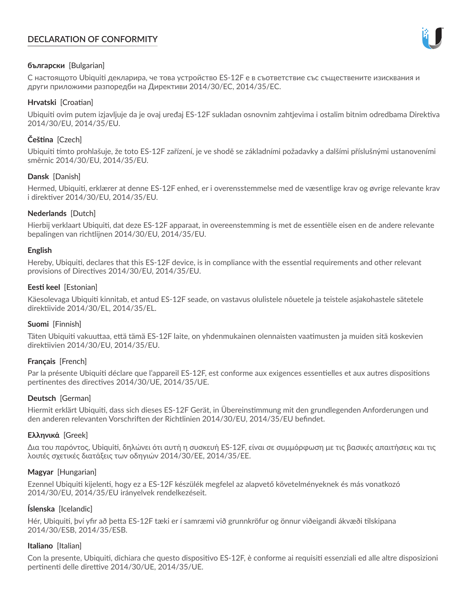# **DECLARATION OF CONFORMITY**



## **български** [Bulgarian]

С настоящото Ubiquiti декларира, че това устройство ES-12F е в съответствие със съществените изисквания и други приложими разпоредби на Директиви 2014/30/ЕС, 2014/35/ЕС.

## **Hrvatski** [Croatian]

Ubiquiti ovim putem izjavljuje da je ovaj uređaj ES-12F sukladan osnovnim zahtjevima i ostalim bitnim odredbama Direktiva 2014/30/EU, 2014/35/EU.

# **Čeština** [Czech]

Ubiquiti tímto prohlašuje, že toto ES-12F zařízení, je ve shodě se základními požadavky a dalšími příslušnými ustanoveními směrnic 2014/30/EU, 2014/35/EU.

## **Dansk** [Danish]

Hermed, Ubiquiti, erklærer at denne ES-12F enhed, er i overensstemmelse med de væsentlige krav og øvrige relevante krav i direktiver 2014/30/EU, 2014/35/EU.

## **Nederlands** [Dutch]

Hierbij verklaart Ubiquiti, dat deze ES-12F apparaat, in overeenstemming is met de essentiële eisen en de andere relevante bepalingen van richtlijnen 2014/30/EU, 2014/35/EU.

## **English**

Hereby, Ubiquiti, declares that this ES-12F device, is in compliance with the essential requirements and other relevant provisions of Directives 2014/30/EU, 2014/35/EU.

## **Eesti keel** [Estonian]

Käesolevaga Ubiquiti kinnitab, et antud ES-12F seade, on vastavus olulistele nõuetele ja teistele asjakohastele sätetele direktiivide 2014/30/EL, 2014/35/EL.

## **Suomi** [Finnish]

Täten Ubiquiti vakuuttaa, että tämä ES-12F laite, on yhdenmukainen olennaisten vaatimusten ja muiden sitä koskevien direktiivien 2014/30/EU, 2014/35/EU.

## **Français** [French]

Par la présente Ubiquiti déclare que l'appareil ES-12F, est conforme aux exigences essentielles et aux autres dispositions pertinentes des directives 2014/30/UE, 2014/35/UE.

## **Deutsch** [German]

Hiermit erklärt Ubiquiti, dass sich dieses ES-12F Gerät, in Übereinstimmung mit den grundlegenden Anforderungen und den anderen relevanten Vorschriften der Richtlinien 2014/30/EU, 2014/35/EU befindet.

## **Ελληνικά** [Greek]

Δια του παρόντος, Ubiquiti, δηλώνει ότι αυτή η συσκευή ES-12F, είναι σε συμμόρφωση με τις βασικές απαιτήσεις και τις λοιπές σχετικές διατάξεις των οδηγιών 2014/30/EE, 2014/35/EE.

## **Magyar** [Hungarian]

Ezennel Ubiquiti kijelenti, hogy ez a ES-12F készülék megfelel az alapvető követelményeknek és más vonatkozó 2014/30/EU, 2014/35/EU irányelvek rendelkezéseit.

## **Íslenska** [Icelandic]

Hér, Ubiquiti, því yfir að þetta ES-12F tæki er í samræmi við grunnkröfur og önnur viðeigandi ákvæði tilskipana 2014/30/ESB, 2014/35/ESB.

## **Italiano** [Italian]

Con la presente, Ubiquiti, dichiara che questo dispositivo ES-12F, è conforme ai requisiti essenziali ed alle altre disposizioni pertinenti delle direttive 2014/30/UE, 2014/35/UE.